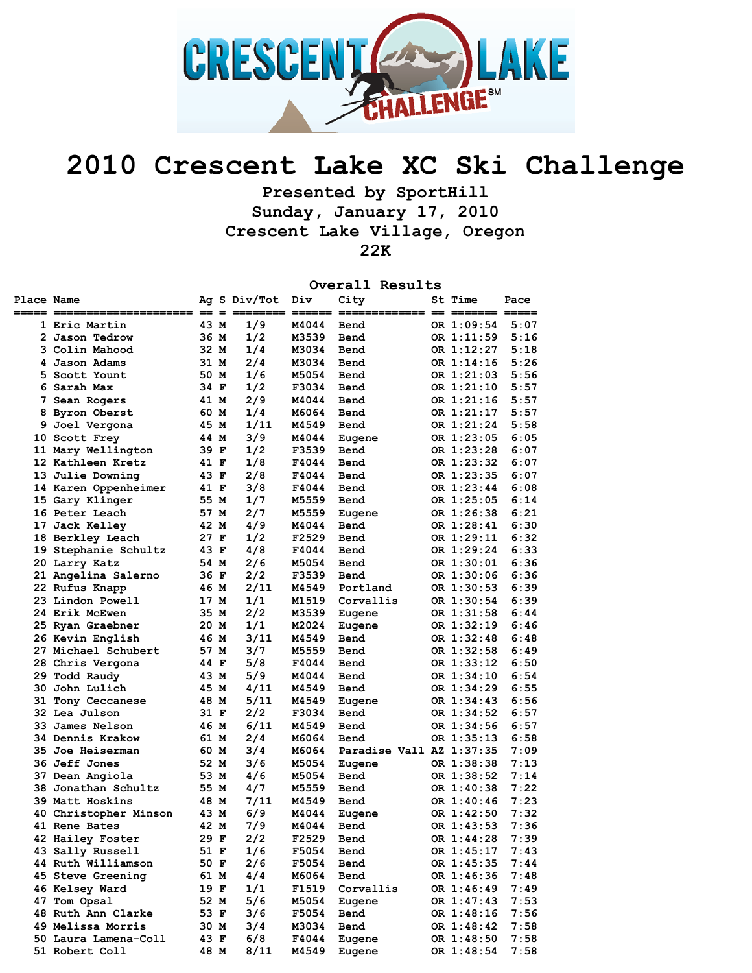

## **2010 Crescent Lake XC Ski Challenge**

**Presented by SportHill Sunday, January 17, 2010 Crescent Lake Village, Oregon 22K** 

**Overall Results** 

| Place Name<br>===== == |                                      |      | Ag S Div/Tot | Div   | City<br>=========        | St Time                  | Pace         |
|------------------------|--------------------------------------|------|--------------|-------|--------------------------|--------------------------|--------------|
|                        | 1 Eric Martin                        | 43 M | 1/9          | M4044 | Bend                     | OR 1:09:54               | 5:07         |
|                        | 2 Jason Tedrow                       | 36 M | 1/2          | M3539 | Bend                     | OR 1:11:59               | 5:16         |
|                        | 3 Colin Mahood                       | 32 M | 1/4          | M3034 | Bend                     | OR 1:12:27               | 5:18         |
|                        | 4 Jason Adams                        | 31 M | 2/4          | M3034 | Bend                     | OR 1:14:16               | 5:26         |
|                        | 5 Scott Yount                        | 50 M | 1/6          | M5054 | Bend                     | OR 1:21:03               | 5:56         |
|                        | 6 Sarah Max                          | 34 F | 1/2          | F3034 | Bend                     | OR 1:21:10               | 5:57         |
|                        | 7 Sean Rogers                        | 41 M | 2/9          | M4044 | Bend                     | OR 1:21:16               | 5:57         |
|                        | 8 Byron Oberst                       | 60 M | 1/4          | M6064 | Bend                     | OR 1:21:17               | 5:57         |
|                        | 9 Joel Vergona                       | 45 M | 1/11         | M4549 | Bend                     | OR 1:21:24               | 5:58         |
|                        | 10 Scott Frey                        | 44 M | 3/9          | M4044 | Eugene                   | OR 1:23:05               | 6:05         |
|                        | 11 Mary Wellington                   | 39 F | 1/2          | F3539 | Bend                     | OR 1:23:28               | 6:07         |
|                        | 12 Kathleen Kretz                    | 41 F | 1/8          | F4044 | Bend                     | OR 1:23:32               | 6:07         |
|                        | 13 Julie Downing                     | 43 F | 2/8          | F4044 | Bend                     | OR 1:23:35               | 6:07         |
|                        | 14 Karen Oppenheimer                 | 41 F | 3/8          | F4044 | Bend                     | OR 1:23:44               | 6:08         |
|                        | 15 Gary Klinger                      | 55 M | 1/7          | M5559 | Bend                     | OR 1:25:05               | 6:14         |
|                        | 16 Peter Leach                       | 57 M | 2/7          | M5559 | Eugene                   | OR 1:26:38               | 6:21         |
|                        | 17 Jack Kelley                       | 42 M | 4/9          | M4044 | Bend                     | OR 1:28:41               | 6:30         |
|                        | 18 Berkley Leach                     | 27 F | 1/2          | F2529 | Bend                     | OR 1:29:11               | 6:32         |
|                        | 19 Stephanie Schultz                 | 43 F | 4/8          | F4044 | Bend                     | OR 1:29:24               | 6:33         |
|                        | 20 Larry Katz                        | 54 M | 2/6          | M5054 | Bend                     | OR 1:30:01               | 6:36         |
|                        | 21 Angelina Salerno                  | 36 F | 2/2          | F3539 | Bend                     | OR 1:30:06               | 6:36         |
|                        | 22 Rufus Knapp                       | 46 M | 2/11         | M4549 | Portland                 | OR 1:30:53               | 6:39         |
|                        | 23 Lindon Powell                     | 17 M | 1/1          | M1519 | Corvallis                | OR 1:30:54               | 6:39         |
|                        | 24 Erik McEwen                       | 35 M | 2/2          | M3539 | Eugene                   | OR 1:31:58               | 6:44         |
|                        | 25 Ryan Graebner                     | 20 M | 1/1          | M2024 | Eugene                   | OR 1:32:19               | 6:46         |
|                        | 26 Kevin English                     | 46 M | 3/11         | M4549 | Bend                     | OR 1:32:48               | 6:48         |
|                        | 27 Michael Schubert                  | 57 M | 3/7          | M5559 | Bend                     | OR 1:32:58               | 6:49         |
|                        | 28 Chris Vergona                     | 44 F | 5/8          | F4044 | Bend                     | OR 1:33:12               | 6:50         |
|                        | 29 Todd Raudy                        | 43 M | 5/9          | M4044 | Bend                     | OR 1:34:10               | 6:54         |
|                        | 30 John Lulich                       | 45 M | 4/11         | M4549 | Bend                     | OR 1:34:29               | 6:55         |
|                        | 31 Tony Ceccanese                    | 48 M | 5/11         | M4549 | Eugene                   | OR 1:34:43               | 6:56         |
|                        | 32 Lea Julson                        | 31 F | 2/2          | F3034 | Bend                     | OR 1:34:52               | 6:57         |
|                        | 33 James Nelson                      | 46 M | 6/11         | M4549 | Bend                     | OR 1:34:56               | 6:57         |
|                        | <b>34 Dennis Krakow</b>              | 61 M | 2/4          | M6064 | Bend                     | OR 1:35:13               | 6:58         |
|                        | 35 Joe Heiserman                     | 60 M | 3/4          | M6064 | Paradise Vall AZ 1:37:35 |                          | 7:09         |
|                        | 36 Jeff Jones                        | 52 M | 3/6          | M5054 | Eugene                   | OR 1:38:38               | 7:13         |
|                        | 37 Dean Angiola                      | 53 M | 4/6          | M5054 | Bend                     | OR 1:38:52               | 7:14         |
|                        | 38 Jonathan Schultz                  | 55 M | 4/7          | M5559 | Bend                     | OR 1:40:38               | 7:22         |
|                        | 39 Matt Hoskins                      | 48 M | 7/11         | M4549 | Bend                     | OR 1:40:46               | 7:23         |
|                        | 40 Christopher Minson                | 43 M | 6/9          | M4044 | Eugene                   | OR 1:42:50               | 7:32         |
|                        | 41 Rene Bates                        | 42 M | 7/9          | M4044 | Bend                     | OR 1:43:53               | 7:36         |
|                        |                                      | 29 F | 2/2          | F2529 | Bend                     | OR 1:44:28               | 7:39         |
|                        | 42 Hailey Foster<br>43 Sally Russell | 51 F | 1/6          | F5054 | Bend                     | OR 1:45:17               | 7:43         |
|                        | 44 Ruth Williamson                   |      |              |       |                          | OR 1:45:35               |              |
|                        | 45 Steve Greening                    | 50 F | 2/6<br>4/4   | F5054 | Bend                     |                          | 7:44<br>7:48 |
|                        |                                      | 61 M |              | M6064 | Bend                     | OR 1:46:36<br>OR 1:46:49 |              |
|                        | 46 Kelsey Ward                       | 19 F | 1/1          | F1519 | Corvallis                |                          | 7:49         |
|                        | 47 Tom Opsal                         | 52 M | 5/6          | M5054 | Eugene                   | OR 1:47:43               | 7:53         |
|                        | 48 Ruth Ann Clarke                   | 53 F | 3/6          | F5054 | Bend                     | OR 1:48:16               | 7:56         |
|                        | 49 Melissa Morris                    | 30 M | 3/4          | M3034 | Bend                     | OR 1:48:42               | 7:58         |
|                        | 50 Laura Lamena-Coll                 | 43 F | 6/8          | F4044 | Eugene                   | OR 1:48:50               | 7:58         |
|                        | 51 Robert Coll                       | 48 M | 8/11         | M4549 | Eugene                   | OR 1:48:54               | 7:58         |